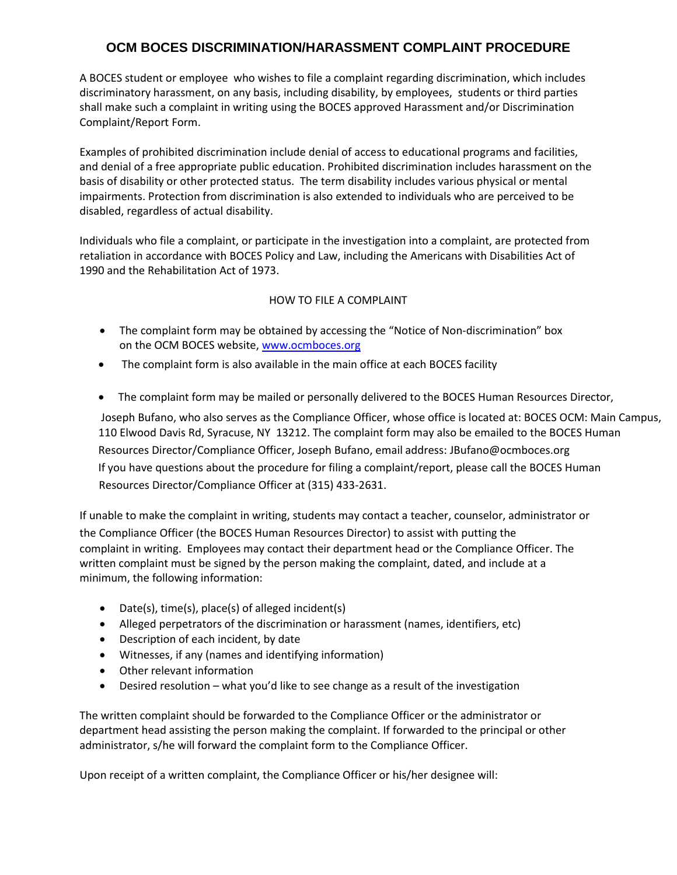## **OCM BOCES DISCRIMINATION/HARASSMENT COMPLAINT PROCEDURE**

A BOCES student or employee who wishes to file a complaint regarding discrimination, which includes discriminatory harassment, on any basis, including disability, by employees, students or third parties shall make such a complaint in writing using the BOCES approved Harassment and/or Discrimination Complaint/Report Form.

Examples of prohibited discrimination include denial of access to educational programs and facilities, and denial of a free appropriate public education. Prohibited discrimination includes harassment on the basis of disability or other protected status. The term disability includes various physical or mental impairments. Protection from discrimination is also extended to individuals who are perceived to be disabled, regardless of actual disability.

Individuals who file a complaint, or participate in the investigation into a complaint, are protected from retaliation in accordance with BOCES Policy and Law, including the Americans with Disabilities Act of 1990 and the Rehabilitation Act of 1973.

## HOW TO FILE A COMPLAINT

- The complaint form may be obtained by accessing the "Notice of Non-discrimination" box on the OCM BOCES website, www.ocmboces.org
- The complaint form is also available in the main office at each BOCES facility
- The complaint form may be mailed or personally delivered to the BOCES Human Resources Director,

Joseph Bufano, who also serves as the Compliance Officer, whose office is located at: BOCES OCM: Main Campus, 110 Elwood Davis Rd, Syracuse, NY 13212. The complaint form may also be emailed to the BOCES Human Resources Director/Compliance Officer, Joseph Bufano, email address: JBufano@ocmboces.org If you have questions about the procedure for filing a complaint/report, please call the BOCES Human Resources Director/Compliance Officer at (315) 433-2631.

If unable to make the complaint in writing, students may contact a teacher, counselor, administrator or the Compliance Officer (the BOCES Human Resources Director) to assist with putting the complaint in writing. Employees may contact their department head or the Compliance Officer. The written complaint must be signed by the person making the complaint, dated, and include at a minimum, the following information:

- Date(s), time(s), place(s) of alleged incident(s)
- Alleged perpetrators of the discrimination or harassment (names, identifiers, etc)
- Description of each incident, by date
- Witnesses, if any (names and identifying information)
- Other relevant information
- Desired resolution what you'd like to see change as a result of the investigation

The written complaint should be forwarded to the Compliance Officer or the administrator or department head assisting the person making the complaint. If forwarded to the principal or other administrator, s/he will forward the complaint form to the Compliance Officer.

Upon receipt of a written complaint, the Compliance Officer or his/her designee will: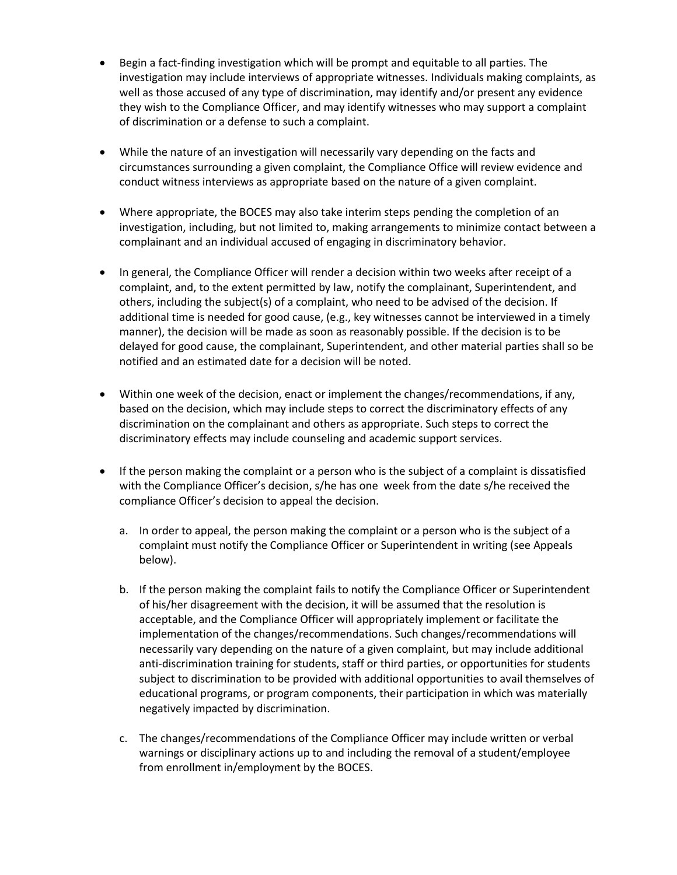- Begin a fact‐finding investigation which will be prompt and equitable to all parties. The investigation may include interviews of appropriate witnesses. Individuals making complaints, as well as those accused of any type of discrimination, may identify and/or present any evidence they wish to the Compliance Officer, and may identify witnesses who may support a complaint of discrimination or a defense to such a complaint.
- While the nature of an investigation will necessarily vary depending on the facts and circumstances surrounding a given complaint, the Compliance Office will review evidence and conduct witness interviews as appropriate based on the nature of a given complaint.
- Where appropriate, the BOCES may also take interim steps pending the completion of an investigation, including, but not limited to, making arrangements to minimize contact between a complainant and an individual accused of engaging in discriminatory behavior.
- In general, the Compliance Officer will render a decision within two weeks after receipt of a complaint, and, to the extent permitted by law, notify the complainant, Superintendent, and others, including the subject(s) of a complaint, who need to be advised of the decision. If additional time is needed for good cause, (e.g., key witnesses cannot be interviewed in a timely manner), the decision will be made as soon as reasonably possible. If the decision is to be delayed for good cause, the complainant, Superintendent, and other material parties shall so be notified and an estimated date for a decision will be noted.
- Within one week of the decision, enact or implement the changes/recommendations, if any, based on the decision, which may include steps to correct the discriminatory effects of any discrimination on the complainant and others as appropriate. Such steps to correct the discriminatory effects may include counseling and academic support services.
- If the person making the complaint or a person who is the subject of a complaint is dissatisfied with the Compliance Officer's decision, s/he has one week from the date s/he received the compliance Officer's decision to appeal the decision.
	- a. In order to appeal, the person making the complaint or a person who is the subject of a complaint must notify the Compliance Officer or Superintendent in writing (see Appeals below).
	- b. If the person making the complaint fails to notify the Compliance Officer or Superintendent of his/her disagreement with the decision, it will be assumed that the resolution is acceptable, and the Compliance Officer will appropriately implement or facilitate the implementation of the changes/recommendations. Such changes/recommendations will necessarily vary depending on the nature of a given complaint, but may include additional anti-discrimination training for students, staff or third parties, or opportunities for students subject to discrimination to be provided with additional opportunities to avail themselves of educational programs, or program components, their participation in which was materially negatively impacted by discrimination.
	- c. The changes/recommendations of the Compliance Officer may include written or verbal warnings or disciplinary actions up to and including the removal of a student/employee from enrollment in/employment by the BOCES.